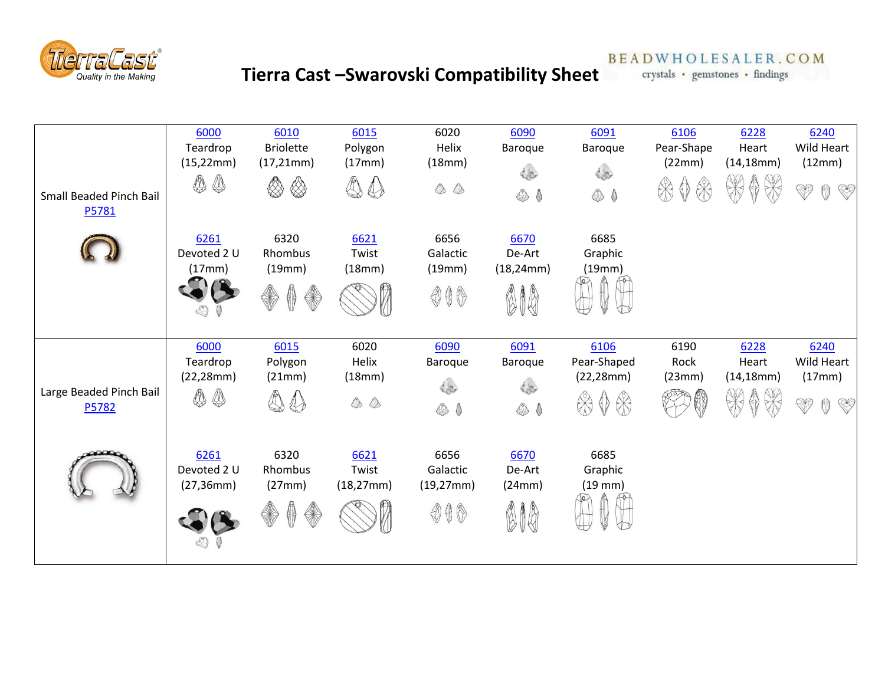

## **Tierra Cast –Swarovski Compatibility Sheet**

**BEADWHOLESALER.COM** 

crystals • gemstones • findings

| Small Beaded Pinch Bail<br>P5781 | 6000<br>Teardrop<br>(15, 22mm)<br><br>♨ | 6010<br><b>Briolette</b><br>(17, 21mm)<br>♦<br>▧         | 6015<br>Polygon<br>(17mm)<br>4<br>$\bigoplus$   | 6020<br>Helix<br>(18mm)<br>$\begin{smallmatrix} \bullet & \bullet \end{smallmatrix}$ | 6090<br>Baroque<br>⊕ (              | 6091<br><b>Baroque</b><br>⊕ (                    | 6106<br>Pear-Shape<br>(22mm)<br>$\gg$<br>в | 6228<br>Heart<br>(14, 18mm) | 6240<br>Wild Heart<br>(12mm)<br>J<br><b>REF</b> |
|----------------------------------|-----------------------------------------|----------------------------------------------------------|-------------------------------------------------|--------------------------------------------------------------------------------------|-------------------------------------|--------------------------------------------------|--------------------------------------------|-----------------------------|-------------------------------------------------|
|                                  | 6261<br>Devoted 2 U<br>(17mm)           | 6320<br>Rhombus<br>(19mm)<br>40                          | 6621<br>Twist<br>(18mm)                         | 6656<br>Galactic<br>(19mm)<br>$\circledcirc \circledast$                             | 6670<br>De-Art<br>(18, 24mm)<br>010 | 6685<br>Graphic<br>(19mm)                        |                                            |                             |                                                 |
| Large Beaded Pinch Bail<br>P5782 | 6000<br>Teardrop<br>(22, 28mm)<br><br>♦ | 6015<br>Polygon<br>(21mm)<br>$\mathbb{Q}$<br>$\bigoplus$ | 6020<br>Helix<br>(18mm)<br>$\quad \circledcirc$ | 6090<br>Baroque<br>⊕ (                                                               | 6091<br><b>Baroque</b><br>⊕ (       | 6106<br>Pear-Shaped<br>(22, 28mm)<br>$\bigoplus$ | 6190<br>Rock<br>(23mm)                     | 6228<br>Heart<br>(14, 18mm) | 6240<br>Wild Heart<br>(17mm)<br>J               |
|                                  | 6261<br>Devoted 2 U                     | 6320<br>Rhombus                                          | 6621<br>Twist                                   | 6656<br>Galactic                                                                     | 6670<br>De-Art                      | 6685<br>Graphic                                  |                                            |                             |                                                 |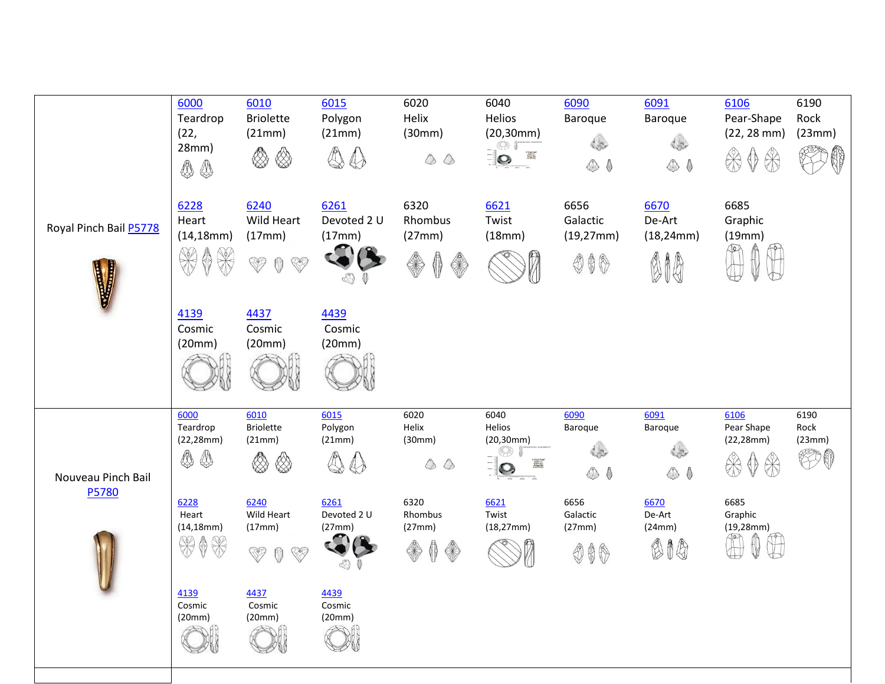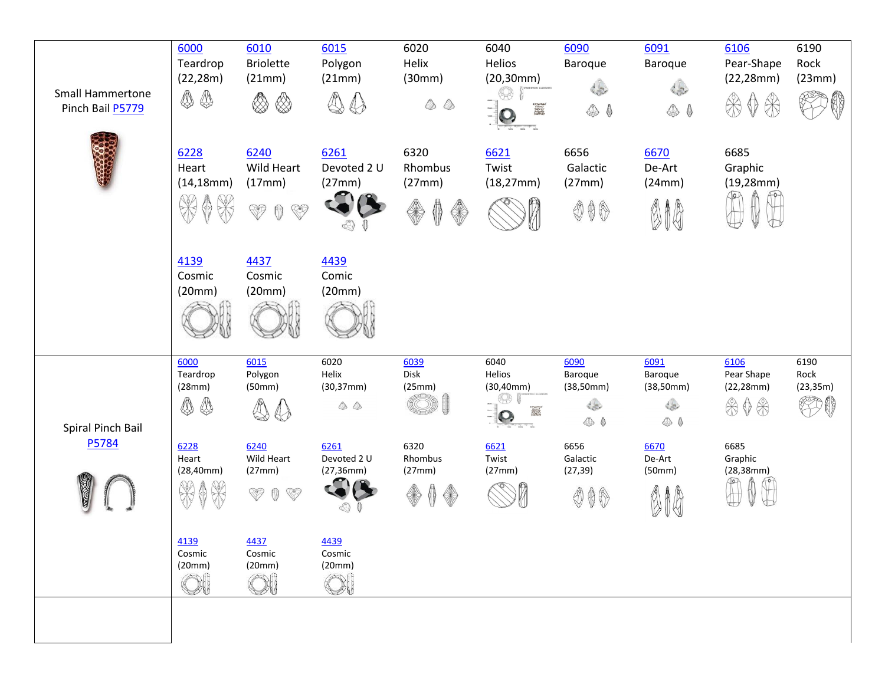